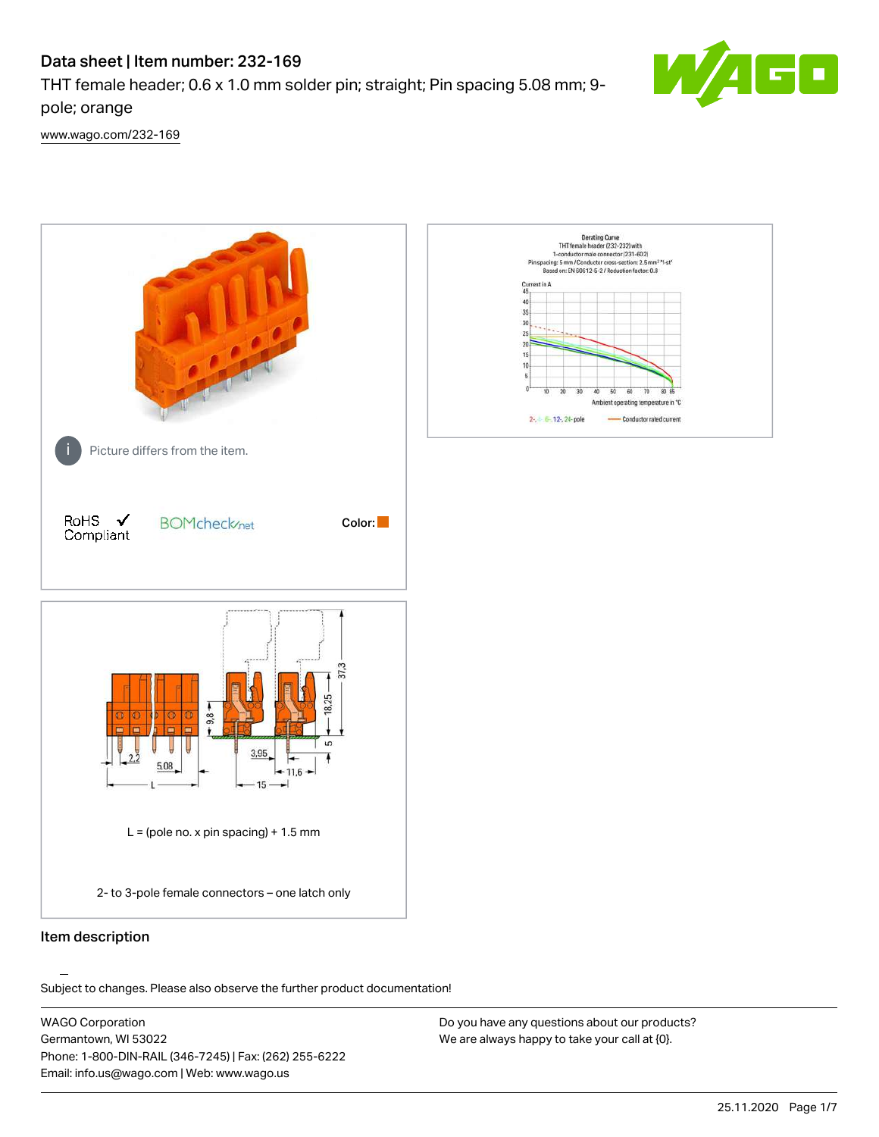# Data sheet | Item number: 232-169

THT female header; 0.6 x 1.0 mm solder pin; straight; Pin spacing 5.08 mm; 9 pole; orange



[www.wago.com/232-169](http://www.wago.com/232-169)



# Item description

.<br>Subject to changes. Please also observe the further product documentation!

WAGO Corporation Germantown, WI 53022 Phone: 1-800-DIN-RAIL (346-7245) | Fax: (262) 255-6222 Email: info.us@wago.com | Web: www.wago.us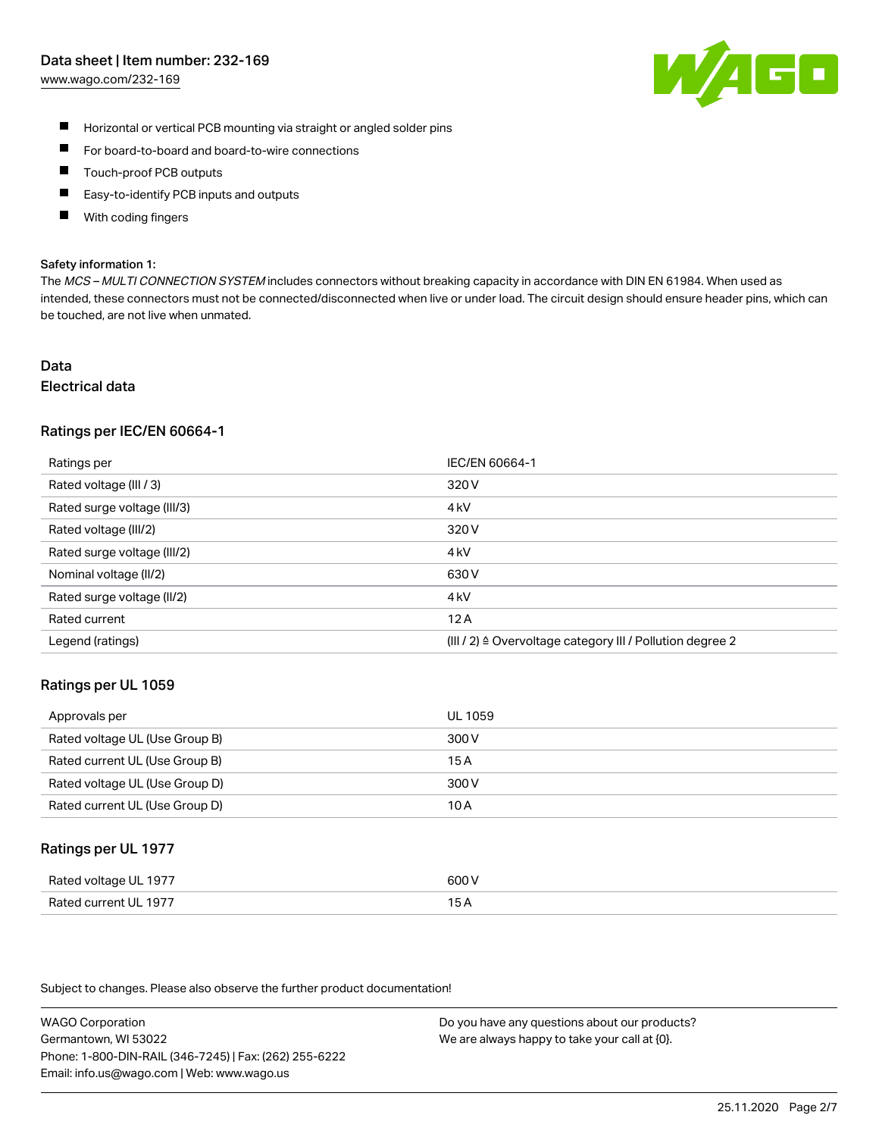# Data sheet | Item number: 232-169

[www.wago.com/232-169](http://www.wago.com/232-169)



- $\blacksquare$ Horizontal or vertical PCB mounting via straight or angled solder pins
- $\blacksquare$ For board-to-board and board-to-wire connections
- Touch-proof PCB outputs  $\blacksquare$
- П Easy-to-identify PCB inputs and outputs
- П With coding fingers

#### Safety information 1:

The MCS - MULTI CONNECTION SYSTEM includes connectors without breaking capacity in accordance with DIN EN 61984. When used as intended, these connectors must not be connected/disconnected when live or under load. The circuit design should ensure header pins, which can be touched, are not live when unmated.

# Data

# Electrical data

## Ratings per IEC/EN 60664-1

| Ratings per                 | IEC/EN 60664-1                                                       |
|-----------------------------|----------------------------------------------------------------------|
| Rated voltage (III / 3)     | 320 V                                                                |
| Rated surge voltage (III/3) | 4 <sub>k</sub> V                                                     |
| Rated voltage (III/2)       | 320 V                                                                |
| Rated surge voltage (III/2) | 4 <sub>k</sub> V                                                     |
| Nominal voltage (II/2)      | 630 V                                                                |
| Rated surge voltage (II/2)  | 4 <sub>k</sub> V                                                     |
| Rated current               | 12A                                                                  |
| Legend (ratings)            | (III / 2) $\triangleq$ Overvoltage category III / Pollution degree 2 |

## Ratings per UL 1059

| Approvals per                  | UL 1059 |
|--------------------------------|---------|
| Rated voltage UL (Use Group B) | 300 V   |
| Rated current UL (Use Group B) | 15 A    |
| Rated voltage UL (Use Group D) | 300 V   |
| Rated current UL (Use Group D) | 10 A    |

## Ratings per UL 1977

| Rated voltage UL 1977    | coo V       |
|--------------------------|-------------|
| Current UL 1977<br>Rated | ، ت<br>____ |

Subject to changes. Please also observe the further product documentation!

WAGO Corporation Germantown, WI 53022 Phone: 1-800-DIN-RAIL (346-7245) | Fax: (262) 255-6222 Email: info.us@wago.com | Web: www.wago.us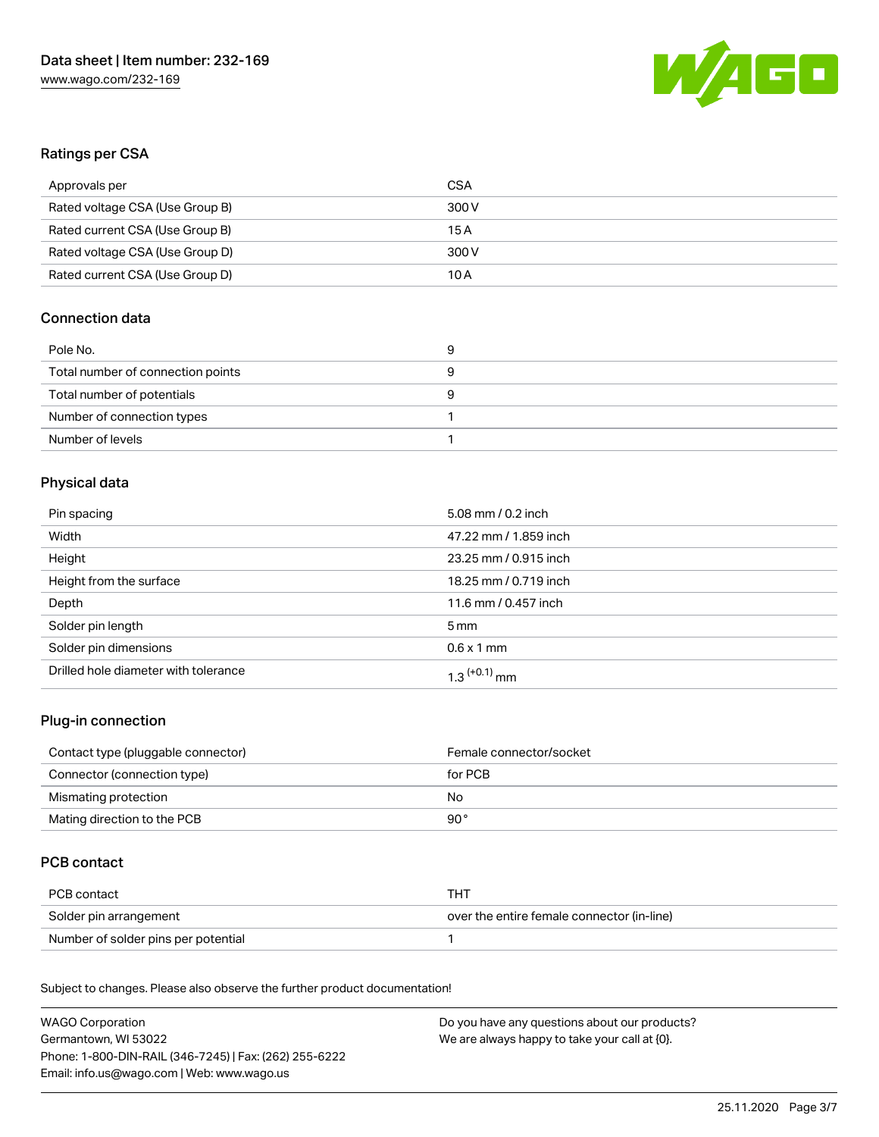

# Ratings per CSA

| Approvals per                   | CSA   |
|---------------------------------|-------|
| Rated voltage CSA (Use Group B) | 300 V |
| Rated current CSA (Use Group B) | 15 A  |
| Rated voltage CSA (Use Group D) | 300 V |
| Rated current CSA (Use Group D) | 10 A  |

# Connection data

| Pole No.                          | У |
|-----------------------------------|---|
| Total number of connection points |   |
| Total number of potentials        |   |
| Number of connection types        |   |
| Number of levels                  |   |

# Physical data

| Pin spacing                          | 5.08 mm / 0.2 inch         |
|--------------------------------------|----------------------------|
| Width                                | 47.22 mm / 1.859 inch      |
| Height                               | 23.25 mm / 0.915 inch      |
| Height from the surface              | 18.25 mm / 0.719 inch      |
| Depth                                | 11.6 mm / 0.457 inch       |
| Solder pin length                    | $5 \,\mathrm{mm}$          |
| Solder pin dimensions                | $0.6 \times 1$ mm          |
| Drilled hole diameter with tolerance | $1.3$ <sup>(+0.1)</sup> mm |

# Plug-in connection

| Contact type (pluggable connector) | Female connector/socket |
|------------------------------------|-------------------------|
| Connector (connection type)        | for PCB                 |
| Mismating protection               | No                      |
| Mating direction to the PCB        | 90 °                    |

# PCB contact

| PCB contact                         | тнт                                        |
|-------------------------------------|--------------------------------------------|
| Solder pin arrangement              | over the entire female connector (in-line) |
| Number of solder pins per potential |                                            |

Subject to changes. Please also observe the further product documentation! Material Data

| <b>WAGO Corporation</b>                                | Do you have any questions about our products? |
|--------------------------------------------------------|-----------------------------------------------|
| Germantown, WI 53022                                   | We are always happy to take your call at {0}. |
| Phone: 1-800-DIN-RAIL (346-7245)   Fax: (262) 255-6222 |                                               |
| Email: info.us@wago.com   Web: www.wago.us             |                                               |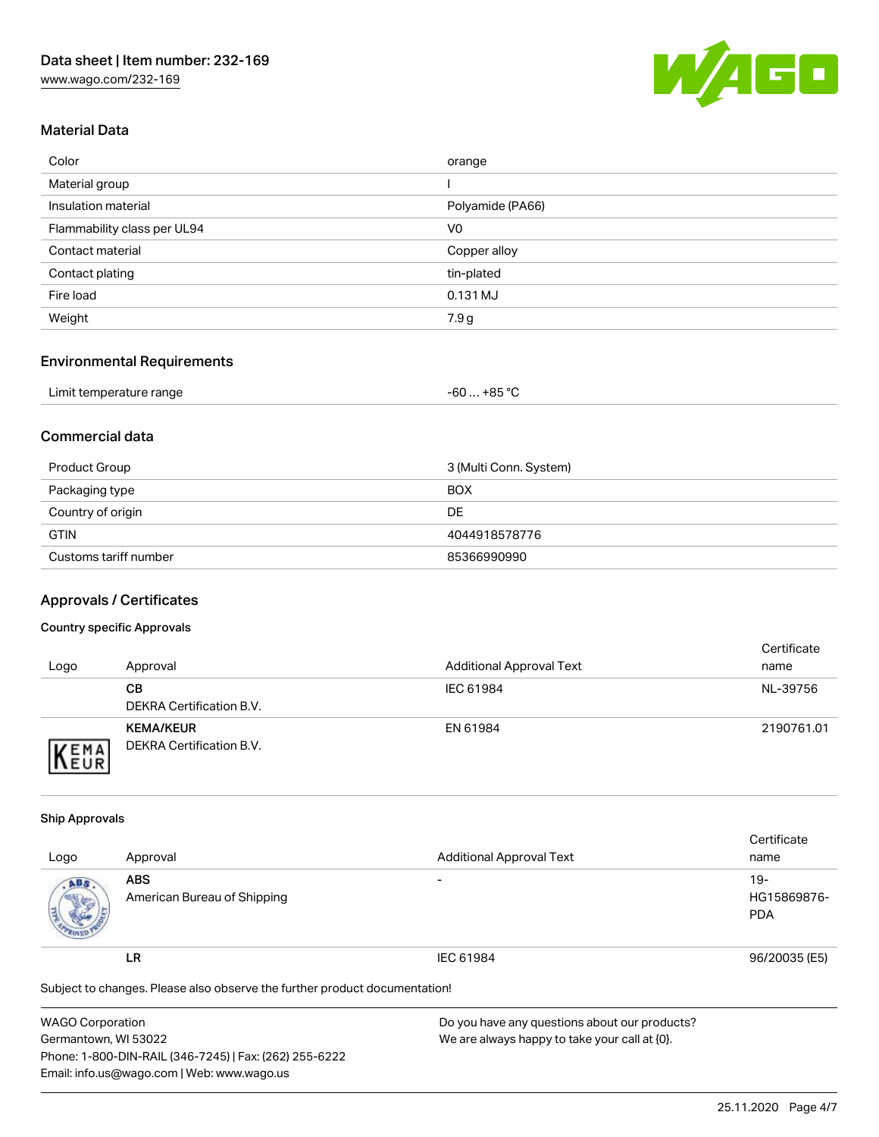

# Material Data

| Color                       | orange           |
|-----------------------------|------------------|
| Material group              |                  |
| Insulation material         | Polyamide (PA66) |
| Flammability class per UL94 | V <sub>0</sub>   |
| Contact material            | Copper alloy     |
| Contact plating             | tin-plated       |
| Fire load                   | 0.131 MJ         |
| Weight                      | 7.9g             |

# Environmental Requirements

| Limit temperature range | . +85 °C<br>-60<br>___ |  |
|-------------------------|------------------------|--|
|-------------------------|------------------------|--|

# Commercial data

| Product Group         | 3 (Multi Conn. System) |
|-----------------------|------------------------|
| Packaging type        | <b>BOX</b>             |
| Country of origin     | DE                     |
| <b>GTIN</b>           | 4044918578776          |
| Customs tariff number | 85366990990            |

# Approvals / Certificates

### Country specific Approvals

| Logo                        | Approval                                     | <b>Additional Approval Text</b> | Certificate<br>name |
|-----------------------------|----------------------------------------------|---------------------------------|---------------------|
|                             | CВ<br>DEKRA Certification B.V.               | IEC 61984                       | NL-39756            |
| <b>VEMA</b><br><b>INEUR</b> | <b>KEMA/KEUR</b><br>DEKRA Certification B.V. | EN 61984                        | 2190761.01          |

#### Ship Approvals

|                                                                            |                             |                                 | Certificate   |  |
|----------------------------------------------------------------------------|-----------------------------|---------------------------------|---------------|--|
| Logo                                                                       | Approval                    | <b>Additional Approval Text</b> | name          |  |
| ABS.                                                                       | <b>ABS</b>                  | -                               | $19 -$        |  |
|                                                                            | American Bureau of Shipping |                                 | HG15869876-   |  |
|                                                                            |                             |                                 | <b>PDA</b>    |  |
|                                                                            | LR                          | IEC 61984                       | 96/20035 (E5) |  |
| Subject to changes. Please also observe the further product documentation! |                             |                                 |               |  |

| <b>WAGO Corporation</b>                                | Do you have any questions about our products? |
|--------------------------------------------------------|-----------------------------------------------|
| Germantown, WI 53022                                   | We are always happy to take your call at {0}. |
| Phone: 1-800-DIN-RAIL (346-7245)   Fax: (262) 255-6222 |                                               |
| Email: info.us@wago.com   Web: www.wago.us             |                                               |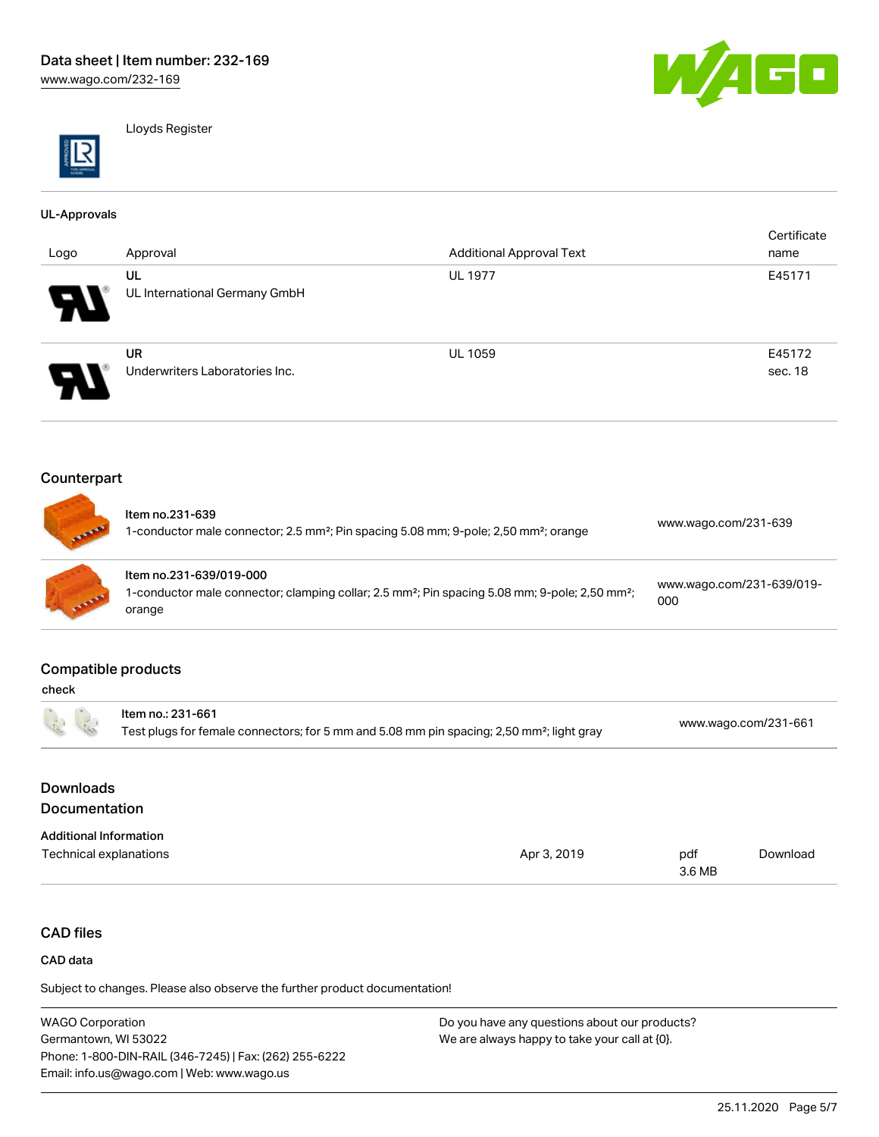

Lloyds Register

#### UL-Approvals

| Logo | Approval                       | <b>Additional Approval Text</b> | Certificate<br>name |
|------|--------------------------------|---------------------------------|---------------------|
|      | UL                             | <b>UL 1977</b>                  | E45171              |
| W    | UL International Germany GmbH  |                                 |                     |
|      | <b>UR</b>                      | <b>UL 1059</b>                  | E45172              |
| A.   | Underwriters Laboratories Inc. |                                 | sec. 18             |

# Counterpart

| <b>CALL AND REAL</b> | Item no.231-639<br>1-conductor male connector; 2.5 mm <sup>2</sup> ; Pin spacing 5.08 mm; 9-pole; 2,50 mm <sup>2</sup> ; orange                             | www.wago.com/231-639             |
|----------------------|-------------------------------------------------------------------------------------------------------------------------------------------------------------|----------------------------------|
| <b>STATE</b>         | Item no.231-639/019-000<br>I-conductor male connector; clamping collar; 2.5 mm <sup>2</sup> ; Pin spacing 5.08 mm; 9-pole; 2,50 mm <sup>2</sup> ;<br>orange | www.wago.com/231-639/019-<br>000 |

## Compatible products

| 示                                                       | Item no.: 231-661<br>Test plugs for female connectors; for 5 mm and 5.08 mm pin spacing; 2,50 mm <sup>2</sup> ; light gray |             | www.wago.com/231-661 |          |
|---------------------------------------------------------|----------------------------------------------------------------------------------------------------------------------------|-------------|----------------------|----------|
| <b>Downloads</b><br><b>Documentation</b>                |                                                                                                                            |             |                      |          |
| <b>Additional Information</b><br>Technical explanations |                                                                                                                            | Apr 3, 2019 | pdf                  | Download |

# CAD files

#### CAD data

Subject to changes. Please also observe the further product documentation!

WAGO Corporation Germantown, WI 53022 Phone: 1-800-DIN-RAIL (346-7245) | Fax: (262) 255-6222 Email: info.us@wago.com | Web: www.wago.us Do you have any questions about our products? We are always happy to take your call at {0}.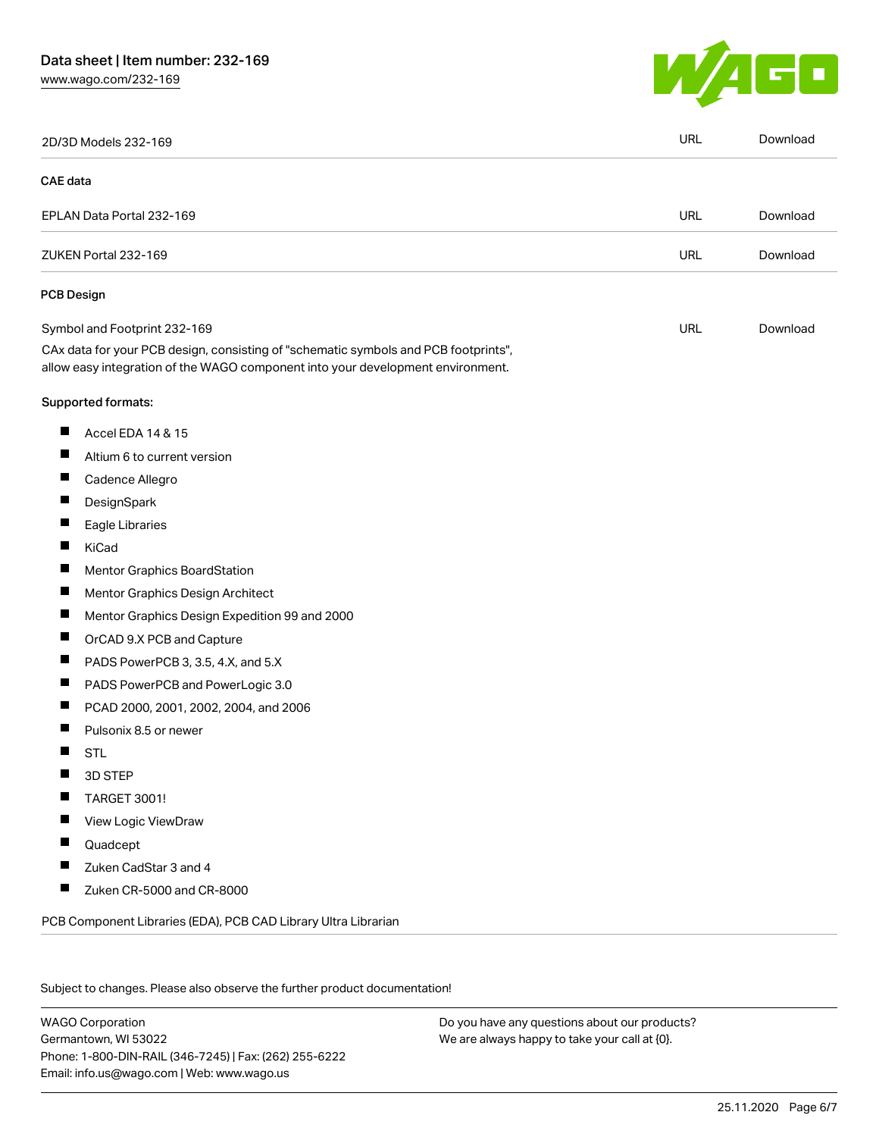# Data sheet | Item number: 232-169

[www.wago.com/232-169](http://www.wago.com/232-169)



|          | 2D/3D Models 232-169                                                                                                                                                   | <b>URL</b> | Download |
|----------|------------------------------------------------------------------------------------------------------------------------------------------------------------------------|------------|----------|
| CAE data |                                                                                                                                                                        |            |          |
|          | EPLAN Data Portal 232-169                                                                                                                                              | URL        | Download |
|          | ZUKEN Portal 232-169                                                                                                                                                   | <b>URL</b> | Download |
|          | <b>PCB Design</b>                                                                                                                                                      |            |          |
|          | Symbol and Footprint 232-169                                                                                                                                           | URL        | Download |
|          | CAx data for your PCB design, consisting of "schematic symbols and PCB footprints",<br>allow easy integration of the WAGO component into your development environment. |            |          |
|          | Supported formats:                                                                                                                                                     |            |          |
| ш        | Accel EDA 14 & 15                                                                                                                                                      |            |          |
| ш        | Altium 6 to current version                                                                                                                                            |            |          |
| ш        | Cadence Allegro                                                                                                                                                        |            |          |
|          | DesignSpark                                                                                                                                                            |            |          |
| ш        | Eagle Libraries                                                                                                                                                        |            |          |
| ш        | KiCad                                                                                                                                                                  |            |          |
|          | Mentor Graphics BoardStation                                                                                                                                           |            |          |
| ш        | Mentor Graphics Design Architect                                                                                                                                       |            |          |
| ш        | Mentor Graphics Design Expedition 99 and 2000                                                                                                                          |            |          |
| H        | OrCAD 9.X PCB and Capture                                                                                                                                              |            |          |
| ш        | PADS PowerPCB 3, 3.5, 4.X, and 5.X                                                                                                                                     |            |          |
| ш        | PADS PowerPCB and PowerLogic 3.0                                                                                                                                       |            |          |
| Ш        | PCAD 2000, 2001, 2002, 2004, and 2006                                                                                                                                  |            |          |
|          | Pulsonix 8.5 or newer                                                                                                                                                  |            |          |
| H        | <b>STL</b>                                                                                                                                                             |            |          |
|          | 3D STEP                                                                                                                                                                |            |          |
|          | <b>TARGET 3001!</b>                                                                                                                                                    |            |          |
|          | View Logic ViewDraw                                                                                                                                                    |            |          |
| ш        | Quadcept                                                                                                                                                               |            |          |
| ш        | Zuken CadStar 3 and 4                                                                                                                                                  |            |          |
| П        | Zuken CR-5000 and CR-8000                                                                                                                                              |            |          |

Subject to changes. Please also observe the further product documentation!

WAGO Corporation Germantown, WI 53022 Phone: 1-800-DIN-RAIL (346-7245) | Fax: (262) 255-6222 Email: info.us@wago.com | Web: www.wago.us